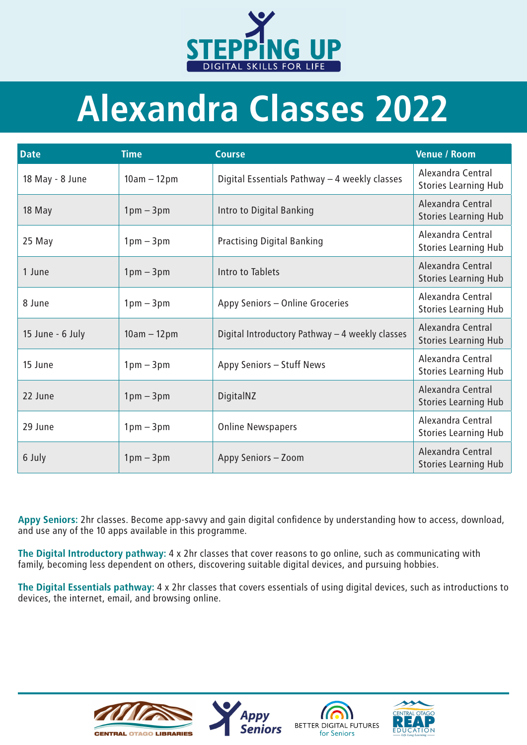Appy Seniors: 2hr classes. Become app-savvy and gain digital confidence by understanding how to access, download, and use any of the 10 apps available in this programme.

The Digital Introductory pathway: 4 x 2hr classes that cover reasons to go online, such as communicating with

family, becoming less dependent on others, discovering suitable digital devices, and pursuing hobbies.

The Digital Essentials pathway: 4 x 2hr classes that covers essentials of using digital devices, such as introductions to devices, the internet, email, and browsing online.





## Alexandra Classes 2022

| <b>Date</b>      | <b>Time</b>   | <b>Course</b>                                   | <b>Venue / Room</b>                                     |
|------------------|---------------|-------------------------------------------------|---------------------------------------------------------|
| 18 May - 8 June  | $10am - 12pm$ | Digital Essentials Pathway - 4 weekly classes   | Alexandra Central<br><b>Stories Learning Hub</b>        |
| 18 May           | $1pm-3pm$     | Intro to Digital Banking                        | Alexandra Central<br><b>Stories Learning Hub</b>        |
| 25 May           | $1pm - 3pm$   | <b>Practising Digital Banking</b>               | Alexandra Central<br><b>Stories Learning Hub</b>        |
| 1 June           | $1pm-3pm$     | Intro to Tablets                                | Alexandra Central<br><b>Stories Learning Hub</b>        |
| 8 June           | $1pm - 3pm$   | Appy Seniors - Online Groceries                 | Alexandra Central<br><b>Stories Learning Hub</b>        |
| 15 June - 6 July | $10am - 12pm$ | Digital Introductory Pathway - 4 weekly classes | Alexandra Central<br><b>Stories Learning Hub</b>        |
| 15 June          | $1pm - 3pm$   | Appy Seniors - Stuff News                       | Alexandra Central<br><b>Stories Learning Hub</b>        |
| 22 June          | $1pm-3pm$     | DigitalNZ                                       | <b>Alexandra Central</b><br><b>Stories Learning Hub</b> |
| 29 June          | $1pm-3pm$     | <b>Online Newspapers</b>                        | Alexandra Central<br><b>Stories Learning Hub</b>        |
| 6 July           | $1pm - 3pm$   | Appy Seniors - Zoom                             | <b>Alexandra Central</b><br><b>Stories Learning Hub</b> |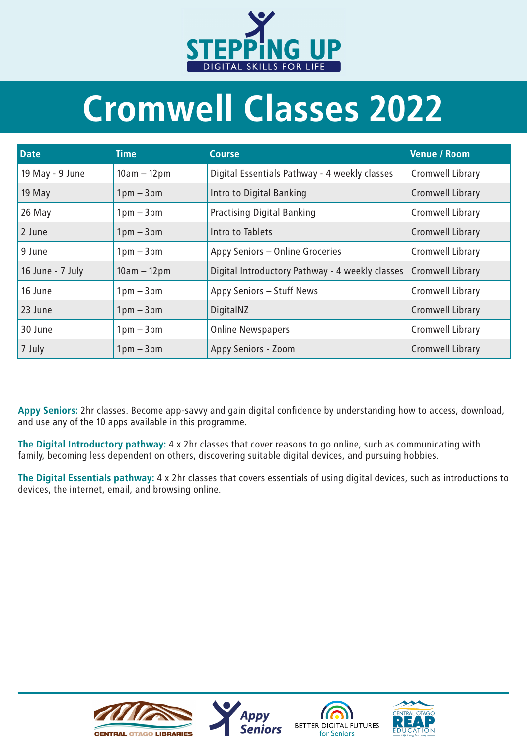| <b>Date</b>      | Time                        | <b>Course</b>                                   | <b>Venue / Room</b>     |
|------------------|-----------------------------|-------------------------------------------------|-------------------------|
| 19 May - 9 June  | $10am - 12pm$               | Digital Essentials Pathway - 4 weekly classes   | <b>Cromwell Library</b> |
| 19 May           | $1pm - 3pm$                 | Intro to Digital Banking                        | <b>Cromwell Library</b> |
| 26 May           | $1pm - 3pm$                 | <b>Practising Digital Banking</b>               | <b>Cromwell Library</b> |
| 2 June           | $1pm - 3pm$                 | Intro to Tablets                                | <b>Cromwell Library</b> |
| 9 June           | $1 \text{pm} - 3 \text{pm}$ | Appy Seniors - Online Groceries                 | <b>Cromwell Library</b> |
| 16 June - 7 July | $10am - 12pm$               | Digital Introductory Pathway - 4 weekly classes | <b>Cromwell Library</b> |
| 16 June          | $1 \text{pm} - 3 \text{pm}$ | Appy Seniors - Stuff News                       | <b>Cromwell Library</b> |
| 23 June          | $1pm - 3pm$                 | DigitalNZ                                       | <b>Cromwell Library</b> |
| 30 June          | $1 \text{pm} - 3 \text{pm}$ | <b>Online Newspapers</b>                        | <b>Cromwell Library</b> |
| 7 July           | $1pm - 3pm$                 | <b>Appy Seniors - Zoom</b>                      | <b>Cromwell Library</b> |

Appy Seniors: 2hr classes. Become app-savvy and gain digital confidence by understanding how to access, download, and use any of the 10 apps available in this programme.



## Cromwell Classes 2022

The Digital Introductory pathway: 4 x 2hr classes that cover reasons to go online, such as communicating with family, becoming less dependent on others, discovering suitable digital devices, and pursuing hobbies.

The Digital Essentials pathway: 4 x 2hr classes that covers essentials of using digital devices, such as introductions to devices, the internet, email, and browsing online.

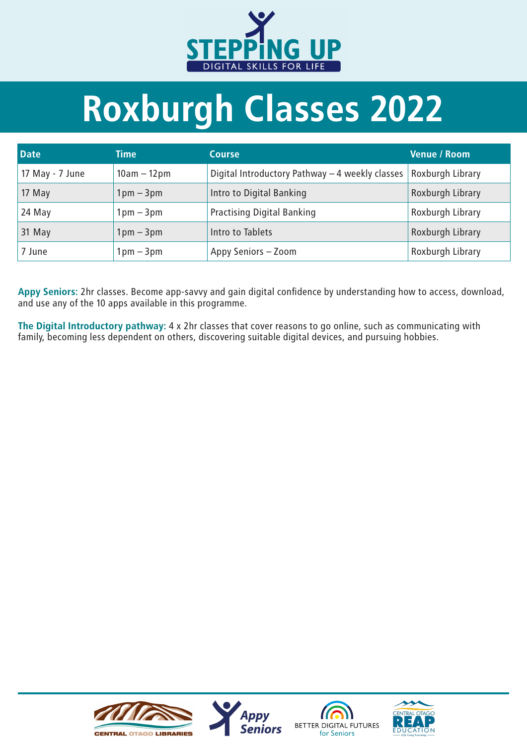

## Roxburgh Classes 2022

| <b>Date</b>       | <b>Time</b>                 | <b>Course</b>                                   | <b>Venue / Room</b>     |
|-------------------|-----------------------------|-------------------------------------------------|-------------------------|
| 17 May - $7$ June | $10am - 12pm$               | Digital Introductory Pathway - 4 weekly classes | <b>Roxburgh Library</b> |
| 17 May            | $1pm - 3pm$                 | Intro to Digital Banking                        | Roxburgh Library        |
| 24 May            | $1 \text{pm} - 3 \text{pm}$ | <b>Practising Digital Banking</b>               | Roxburgh Library        |
| 31 May            | $1pm - 3pm$                 | Intro to Tablets                                | Roxburgh Library        |
| 7 June            | $1pm-3pm$                   | Appy Seniors - Zoom                             | Roxburgh Library        |

Appy Seniors: 2hr classes. Become app-savvy and gain digital confidence by understanding how to access, download, and use any of the 10 apps available in this programme.

The Digital Introductory pathway: 4 x 2hr classes that cover reasons to go online, such as communicating with family, becoming less dependent on others, discovering suitable digital devices, and pursuing hobbies.